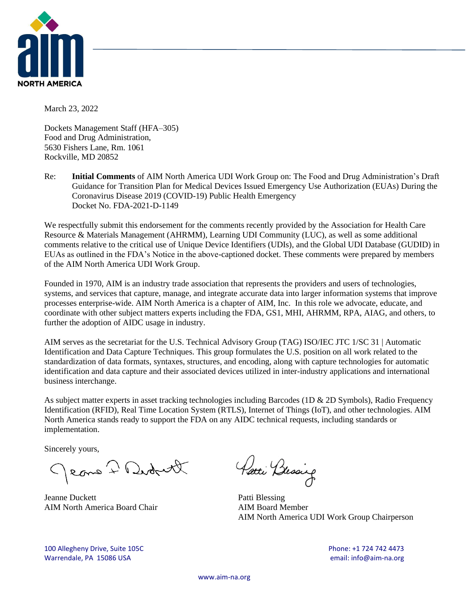

March 23, 2022

Dockets Management Staff (HFA–305) Food and Drug Administration, 5630 Fishers Lane, Rm. 1061 Rockville, MD 20852

Re: **Initial Comments** of AIM North America UDI Work Group on: The Food and Drug Administration's Draft Guidance for Transition Plan for Medical Devices Issued Emergency Use Authorization (EUAs) During the Coronavirus Disease 2019 (COVID-19) Public Health Emergency Docket No. FDA-2021-D-1149

We respectfully submit this endorsement for the comments recently provided by the Association for Health Care Resource & Materials Management (AHRMM), Learning UDI Community (LUC), as well as some additional comments relative to the critical use of Unique Device Identifiers (UDIs), and the Global UDI Database (GUDID) in EUAs as outlined in the FDA's Notice in the above-captioned docket. These comments were prepared by members of the AIM North America UDI Work Group.

Founded in 1970, AIM is an industry trade association that represents the providers and users of technologies, systems, and services that capture, manage, and integrate accurate data into larger information systems that improve processes enterprise-wide. AIM North America is a chapter of AIM, Inc. In this role we advocate, educate, and coordinate with other subject matters experts including the FDA, GS1, MHI, AHRMM, RPA, AIAG, and others, to further the adoption of AIDC usage in industry.

AIM serves as the secretariat for the U.S. Technical Advisory Group (TAG) ISO/IEC JTC 1/SC 31 | Automatic Identification and Data Capture Techniques. This group formulates the U.S. position on all work related to the standardization of data formats, syntaxes, structures, and encoding, along with capture technologies for automatic identification and data capture and their associated devices utilized in inter-industry applications and international business interchange.

As subject matter experts in asset tracking technologies including Barcodes (1D & 2D Symbols), Radio Frequency Identification (RFID), Real Time Location System (RTLS), Internet of Things (IoT), and other technologies. AIM North America stands ready to support the FDA on any AIDC technical requests, including standards or implementation.

Sincerely yours,

Jeans I Didrett

Jeanne Duckett Patti Blessing AIM North America Board Chair **AIM Board Member** 

Parti Brosing

AIM North America UDI Work Group Chairperson

100 Allegheny Drive, Suite 105C Phone: +1 724 742 4473 Warrendale, PA 15086 USA email: info@aim-na.org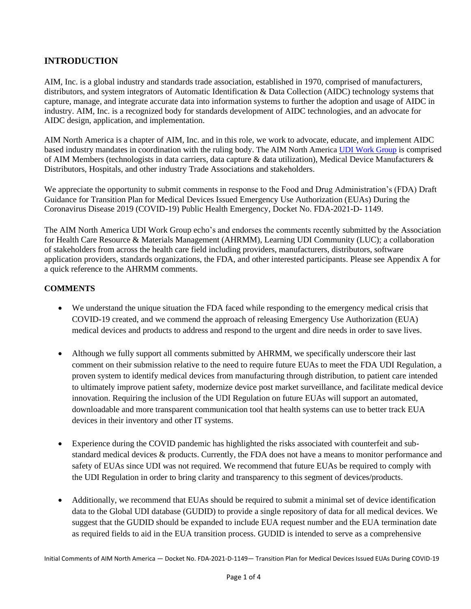# **INTRODUCTION**

AIM, Inc. is a global industry and standards trade association, established in 1970, comprised of manufacturers, distributors, and system integrators of Automatic Identification & Data Collection (AIDC) technology systems that capture, manage, and integrate accurate data into information systems to further the adoption and usage of AIDC in industry. AIM, Inc. is a recognized body for standards development of AIDC technologies, and an advocate for AIDC design, application, and implementation.

AIM North America is a chapter of AIM, Inc. and in this role, we work to advocate, educate, and implement AIDC based industry mandates in coordination with the ruling body. The AIM North America UDI Work [Group](https://www.aim-na.org/committees.html) is comprised of AIM Members (technologists in data carriers, data capture & data utilization), Medical Device Manufacturers & Distributors, Hospitals, and other industry Trade Associations and stakeholders.

We appreciate the opportunity to submit comments in response to the Food and Drug Administration's (FDA) Draft Guidance for Transition Plan for Medical Devices Issued Emergency Use Authorization (EUAs) During the Coronavirus Disease 2019 (COVID-19) Public Health Emergency, Docket No. FDA-2021-D- 1149.

The AIM North America UDI Work Group echo's and endorses the comments recently submitted by the Association for Health Care Resource & Materials Management (AHRMM), Learning UDI Community (LUC); a collaboration of stakeholders from across the health care field including providers, manufacturers, distributors, software application providers, standards organizations, the FDA, and other interested participants. Please see Appendix A for a quick reference to the AHRMM comments.

## **COMMENTS**

- We understand the unique situation the FDA faced while responding to the emergency medical crisis that COVID-19 created, and we commend the approach of releasing Emergency Use Authorization (EUA) medical devices and products to address and respond to the urgent and dire needs in order to save lives.
- Although we fully support all comments submitted by AHRMM, we specifically underscore their last comment on their submission relative to the need to require future EUAs to meet the FDA UDI Regulation, a proven system to identify medical devices from manufacturing through distribution, to patient care intended to ultimately improve patient safety, modernize device post market surveillance, and facilitate medical device innovation. Requiring the inclusion of the UDI Regulation on future EUAs will support an automated, downloadable and more transparent communication tool that health systems can use to better track EUA devices in their inventory and other IT systems.
- Experience during the COVID pandemic has highlighted the risks associated with counterfeit and substandard medical devices & products. Currently, the FDA does not have a means to monitor performance and safety of EUAs since UDI was not required. We recommend that future EUAs be required to comply with the UDI Regulation in order to bring clarity and transparency to this segment of devices/products.
- Additionally, we recommend that EUAs should be required to submit a minimal set of device identification data to the Global UDI database (GUDID) to provide a single repository of data for all medical devices. We suggest that the GUDID should be expanded to include EUA request number and the EUA termination date as required fields to aid in the EUA transition process. GUDID is intended to serve as a comprehensive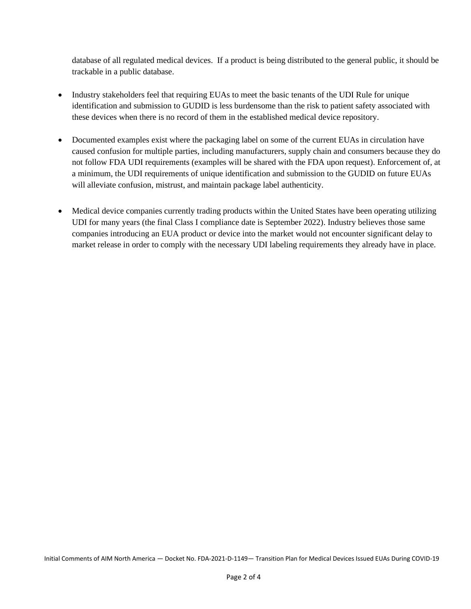database of all regulated medical devices. If a product is being distributed to the general public, it should be trackable in a public database.

- Industry stakeholders feel that requiring EUAs to meet the basic tenants of the UDI Rule for unique identification and submission to GUDID is less burdensome than the risk to patient safety associated with these devices when there is no record of them in the established medical device repository.
- Documented examples exist where the packaging label on some of the current EUAs in circulation have caused confusion for multiple parties, including manufacturers, supply chain and consumers because they do not follow FDA UDI requirements (examples will be shared with the FDA upon request). Enforcement of, at a minimum, the UDI requirements of unique identification and submission to the GUDID on future EUAs will alleviate confusion, mistrust, and maintain package label authenticity.
- Medical device companies currently trading products within the United States have been operating utilizing UDI for many years (the final Class I compliance date is September 2022). Industry believes those same companies introducing an EUA product or device into the market would not encounter significant delay to market release in order to comply with the necessary UDI labeling requirements they already have in place.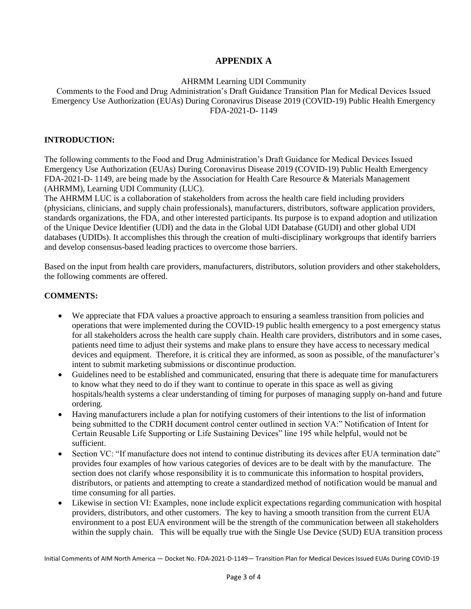## **APPENDIX A**

AHRMM Learning UDI Community

Comments to the Food and Drug Administration's Draft Guidance Transition Plan for Medical Devices Issued Emergency Use Authorization (EUAs) During Coronavirus Disease 2019 (COVID-19) Public Health Emergency FDA-2021-D- 1149

### **INTRODUCTION:**

The following comments to the Food and Drug Administration's Draft Guidance for Medical Devices Issued Emergency Use Authorization (EUAs) During Coronavirus Disease 2019 (COVID-19) Public Health Emergency FDA-2021-D- 1149, are being made by the Association for Health Care Resource & Materials Management (AHRMM), Learning UDI Community (LUC).

The AHRMM LUC is a collaboration of stakeholders from across the health care field including providers (physicians, clinicians, and supply chain professionals), manufacturers, distributors, software application providers, standards organizations, the FDA, and other interested participants. Its purpose is to expand adoption and utilization of the Unique Device Identifier (UDI) and the data in the Global UDI Database (GUDI) and other global UDI databases (UDIDs). It accomplishes this through the creation of multi-disciplinary workgroups that identify barriers and develop consensus-based leading practices to overcome those barriers.

Based on the input from health care providers, manufacturers, distributors, solution providers and other stakeholders, the following comments are offered.

### **COMMENTS:**

- We appreciate that FDA values a proactive approach to ensuring a seamless transition from policies and operations that were implemented during the COVID-19 public health emergency to a post emergency status for all stakeholders across the health care supply chain. Health care providers, distributors and in some cases, patients need time to adjust their systems and make plans to ensure they have access to necessary medical devices and equipment. Therefore, it is critical they are informed, as soon as possible, of the manufacturer's intent to submit marketing submissions or discontinue production.
- Guidelines need to be established and communicated, ensuring that there is adequate time for manufacturers to know what they need to do if they want to continue to operate in this space as well as giving hospitals/health systems a clear understanding of timing for purposes of managing supply on-hand and future ordering.
- Having manufacturers include a plan for notifying customers of their intentions to the list of information being submitted to the CDRH document control center outlined in section VA:" Notification of Intent for Certain Reusable Life Supporting or Life Sustaining Devices" line 195 while helpful, would not be sufficient.
- Section VC: "If manufacture does not intend to continue distributing its devices after EUA termination date" provides four examples of how various categories of devices are to be dealt with by the manufacture. The section does not clarify whose responsibility it is to communicate this information to hospital providers, distributors, or patients and attempting to create a standardized method of notification would be manual and time consuming for all parties.
- Likewise in section VI: Examples, none include explicit expectations regarding communication with hospital providers, distributors, and other customers. The key to having a smooth transition from the current EUA environment to a post EUA environment will be the strength of the communication between all stakeholders within the supply chain. This will be equally true with the Single Use Device (SUD) EUA transition process

Initial Comments of AIM North America — Docket No. FDA-2021-D-1149— Transition Plan for Medical Devices Issued EUAs During COVID-19